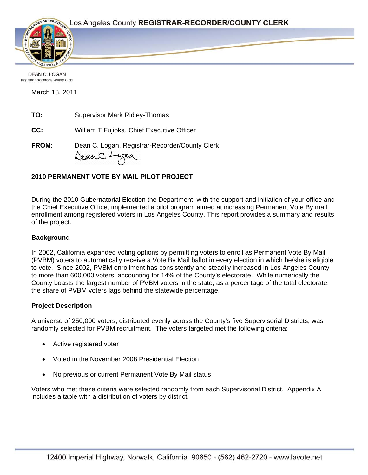

**DEAN C. LOGAN** Registrar-Recorder/County Clerk

March 18, 2011

**TO:** Supervisor Mark Ridley-Thomas

**CC:** William T Fujioka, Chief Executive Officer

**FROM:** Dean C. Logan, Registrar-Recorder/County Clerk DeanC. Logan

# **2010 PERMANENT VOTE BY MAIL PILOT PROJECT**

During the 2010 Gubernatorial Election the Department, with the support and initiation of your office and the Chief Executive Office, implemented a pilot program aimed at increasing Permanent Vote By mail enrollment among registered voters in Los Angeles County. This report provides a summary and results of the project.

# **Background**

In 2002, California expanded voting options by permitting voters to enroll as Permanent Vote By Mail (PVBM) voters to automatically receive a Vote By Mail ballot in every election in which he/she is eligible to vote. Since 2002, PVBM enrollment has consistently and steadily increased in Los Angeles County to more than 600,000 voters, accounting for 14% of the County's electorate. While numerically the County boasts the largest number of PVBM voters in the state; as a percentage of the total electorate, the share of PVBM voters lags behind the statewide percentage.

## **Project Description**

A universe of 250,000 voters, distributed evenly across the County's five Supervisorial Districts, was randomly selected for PVBM recruitment. The voters targeted met the following criteria:

- Active registered voter
- Voted in the November 2008 Presidential Election
- No previous or current Permanent Vote By Mail status

Voters who met these criteria were selected randomly from each Supervisorial District. Appendix A includes a table with a distribution of voters by district.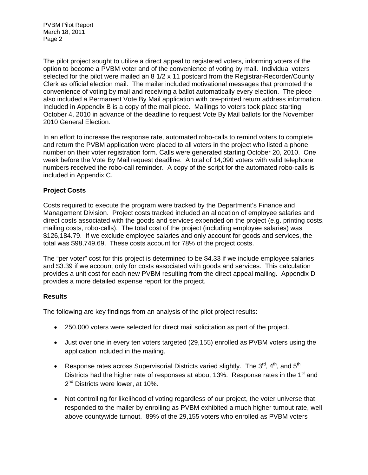The pilot project sought to utilize a direct appeal to registered voters, informing voters of the option to become a PVBM voter and of the convenience of voting by mail. Individual voters selected for the pilot were mailed an 8 1/2 x 11 postcard from the Registrar-Recorder/County Clerk as official election mail. The mailer included motivational messages that promoted the convenience of voting by mail and receiving a ballot automatically every election. The piece also included a Permanent Vote By Mail application with pre-printed return address information. Included in Appendix B is a copy of the mail piece. Mailings to voters took place starting October 4, 2010 in advance of the deadline to request Vote By Mail ballots for the November 2010 General Election.

In an effort to increase the response rate, automated robo-calls to remind voters to complete and return the PVBM application were placed to all voters in the project who listed a phone number on their voter registration form. Calls were generated starting October 20, 2010. One week before the Vote By Mail request deadline. A total of 14,090 voters with valid telephone numbers received the robo-call reminder. A copy of the script for the automated robo-calls is included in Appendix C.

### **Project Costs**

Costs required to execute the program were tracked by the Department's Finance and Management Division. Project costs tracked included an allocation of employee salaries and direct costs associated with the goods and services expended on the project (e.g. printing costs, mailing costs, robo-calls). The total cost of the project (including employee salaries) was \$126,184.79. If we exclude employee salaries and only account for goods and services, the total was \$98,749.69. These costs account for 78% of the project costs.

The "per voter" cost for this project is determined to be \$4.33 if we include employee salaries and \$3.39 if we account only for costs associated with goods and services. This calculation provides a unit cost for each new PVBM resulting from the direct appeal mailing. Appendix D provides a more detailed expense report for the project.

### **Results**

The following are key findings from an analysis of the pilot project results:

- 250,000 voters were selected for direct mail solicitation as part of the project.
- Just over one in every ten voters targeted (29,155) enrolled as PVBM voters using the application included in the mailing.
- Response rates across Supervisorial Districts varied slightly. The  $3^{rd}$ ,  $4^{th}$ , and  $5^{th}$ Districts had the higher rate of responses at about 13%. Response rates in the 1<sup>st</sup> and 2<sup>nd</sup> Districts were lower, at 10%.
- Not controlling for likelihood of voting regardless of our project, the voter universe that responded to the mailer by enrolling as PVBM exhibited a much higher turnout rate, well above countywide turnout. 89% of the 29,155 voters who enrolled as PVBM voters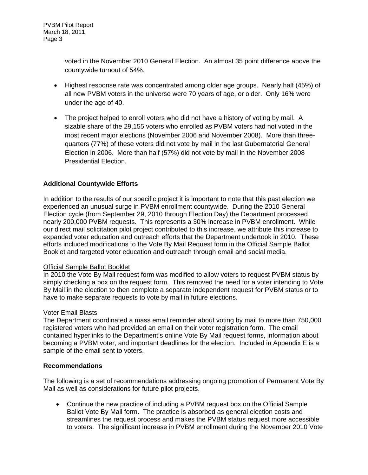voted in the November 2010 General Election. An almost 35 point difference above the countywide turnout of 54%.

- Highest response rate was concentrated among older age groups. Nearly half (45%) of all new PVBM voters in the universe were 70 years of age, or older. Only 16% were under the age of 40.
- The project helped to enroll voters who did not have a history of voting by mail. A sizable share of the 29,155 voters who enrolled as PVBM voters had not voted in the most recent major elections (November 2006 and November 2008). More than threequarters (77%) of these voters did not vote by mail in the last Gubernatorial General Election in 2006. More than half (57%) did not vote by mail in the November 2008 Presidential Election.

## **Additional Countywide Efforts**

In addition to the results of our specific project it is important to note that this past election we experienced an unusual surge in PVBM enrollment countywide. During the 2010 General Election cycle (from September 29, 2010 through Election Day) the Department processed nearly 200,000 PVBM requests. This represents a 30% increase in PVBM enrollment. While our direct mail solicitation pilot project contributed to this increase, we attribute this increase to expanded voter education and outreach efforts that the Department undertook in 2010. These efforts included modifications to the Vote By Mail Request form in the Official Sample Ballot Booklet and targeted voter education and outreach through email and social media.

### Official Sample Ballot Booklet

In 2010 the Vote By Mail request form was modified to allow voters to request PVBM status by simply checking a box on the request form. This removed the need for a voter intending to Vote By Mail in the election to then complete a separate independent request for PVBM status or to have to make separate requests to vote by mail in future elections.

### Voter Email Blasts

The Department coordinated a mass email reminder about voting by mail to more than 750,000 registered voters who had provided an email on their voter registration form. The email contained hyperlinks to the Department's online Vote By Mail request forms, information about becoming a PVBM voter, and important deadlines for the election. Included in Appendix E is a sample of the email sent to voters.

### **Recommendations**

The following is a set of recommendations addressing ongoing promotion of Permanent Vote By Mail as well as considerations for future pilot projects.

• Continue the new practice of including a PVBM request box on the Official Sample Ballot Vote By Mail form. The practice is absorbed as general election costs and streamlines the request process and makes the PVBM status request more accessible to voters. The significant increase in PVBM enrollment during the November 2010 Vote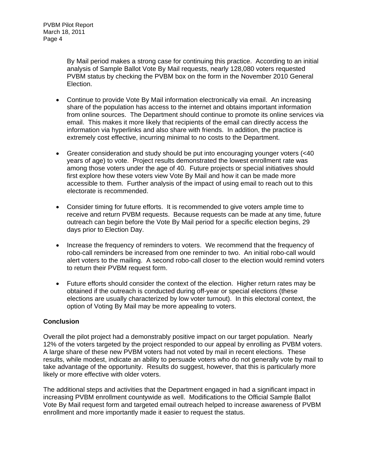By Mail period makes a strong case for continuing this practice. According to an initial analysis of Sample Ballot Vote By Mail requests, nearly 128,080 voters requested PVBM status by checking the PVBM box on the form in the November 2010 General Election.

- Continue to provide Vote By Mail information electronically via email. An increasing share of the population has access to the internet and obtains important information from online sources. The Department should continue to promote its online services via email. This makes it more likely that recipients of the email can directly access the information via hyperlinks and also share with friends. In addition, the practice is extremely cost effective, incurring minimal to no costs to the Department.
- Greater consideration and study should be put into encouraging younger voters (<40 years of age) to vote. Project results demonstrated the lowest enrollment rate was among those voters under the age of 40. Future projects or special initiatives should first explore how these voters view Vote By Mail and how it can be made more accessible to them. Further analysis of the impact of using email to reach out to this electorate is recommended.
- Consider timing for future efforts. It is recommended to give voters ample time to receive and return PVBM requests. Because requests can be made at any time, future outreach can begin before the Vote By Mail period for a specific election begins, 29 days prior to Election Day.
- Increase the frequency of reminders to voters. We recommend that the frequency of robo-call reminders be increased from one reminder to two. An initial robo-call would alert voters to the mailing. A second robo-call closer to the election would remind voters to return their PVBM request form.
- Future efforts should consider the context of the election. Higher return rates may be obtained if the outreach is conducted during off-year or special elections (these elections are usually characterized by low voter turnout). In this electoral context, the option of Voting By Mail may be more appealing to voters.

### **Conclusion**

Overall the pilot project had a demonstrably positive impact on our target population. Nearly 12% of the voters targeted by the project responded to our appeal by enrolling as PVBM voters. A large share of these new PVBM voters had not voted by mail in recent elections. These results, while modest, indicate an ability to persuade voters who do not generally vote by mail to take advantage of the opportunity. Results do suggest, however, that this is particularly more likely or more effective with older voters.

The additional steps and activities that the Department engaged in had a significant impact in increasing PVBM enrollment countywide as well. Modifications to the Official Sample Ballot Vote By Mail request form and targeted email outreach helped to increase awareness of PVBM enrollment and more importantly made it easier to request the status.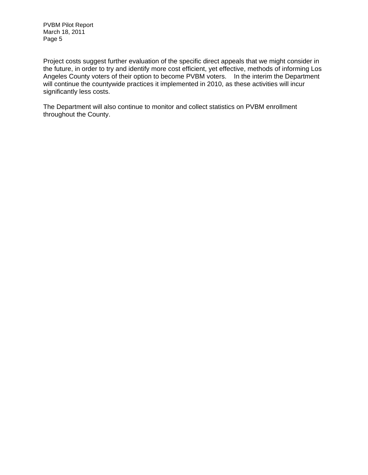Project costs suggest further evaluation of the specific direct appeals that we might consider in the future, in order to try and identify more cost efficient, yet effective, methods of informing Los Angeles County voters of their option to become PVBM voters. In the interim the Department will continue the countywide practices it implemented in 2010, as these activities will incur significantly less costs.

The Department will also continue to monitor and collect statistics on PVBM enrollment throughout the County.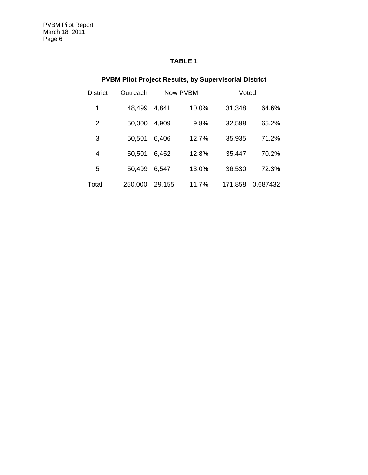| <b>PVBM Pilot Project Results, by Supervisorial District</b> |          |        |          |         |          |  |  |  |  |
|--------------------------------------------------------------|----------|--------|----------|---------|----------|--|--|--|--|
| <b>District</b>                                              | Outreach |        | Now PVBM | Voted   |          |  |  |  |  |
| 1                                                            | 48,499   | 4,841  | 10.0%    | 31,348  | 64.6%    |  |  |  |  |
| 2                                                            | 50,000   | 4,909  | 9.8%     | 32,598  | 65.2%    |  |  |  |  |
| 3                                                            | 50,501   | 6,406  | 12.7%    | 35,935  | 71.2%    |  |  |  |  |
| 4                                                            | 50,501   | 6,452  | 12.8%    | 35,447  | 70.2%    |  |  |  |  |
| 5                                                            | 50,499   | 6,547  | 13.0%    | 36,530  | 72.3%    |  |  |  |  |
| Total                                                        | 250,000  | 29,155 | 11.7%    | 171,858 | 0.687432 |  |  |  |  |

**TABLE 1**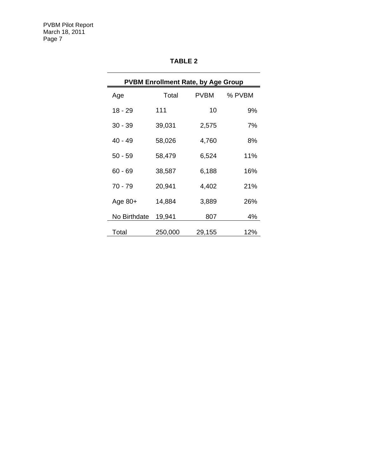| <b>TABLE 2</b> |  |
|----------------|--|
|                |  |

|              |         | <b>PVBM Enrollment Rate, by Age Group</b> |        |
|--------------|---------|-------------------------------------------|--------|
| Age          | Total   | <b>PVBM</b>                               | % PVBM |
| $18 - 29$    | 111     | 10                                        | 9%     |
| $30 - 39$    | 39,031  | 2,575                                     | 7%     |
| $40 - 49$    | 58,026  | 4,760                                     | 8%     |
| $50 - 59$    | 58,479  | 6,524                                     | 11%    |
| $60 - 69$    | 38,587  | 6,188                                     | 16%    |
| $70 - 79$    | 20,941  | 4,402                                     | 21%    |
| Age $80+$    | 14,884  | 3,889                                     | 26%    |
| No Birthdate | 19,941  | 807                                       | 4%     |
| Total        | 250,000 | 29,155                                    | 12%    |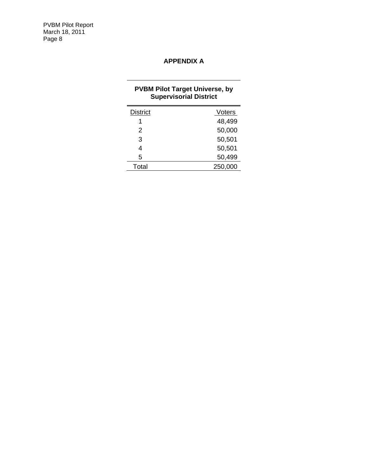### **APPENDIX A**

<u> 1989 - Johann Barn, mars eta bainar e</u>

 $\sim$ 

# **PVBM Pilot Target Universe, by Supervisorial District**

| <b>District</b> | <b>Voters</b> |
|-----------------|---------------|
|                 | 48,499        |
| 2               | 50,000        |
| 3               | 50,501        |
|                 | 50,501        |
| 5               | 50,499        |
| Total           | 250,000       |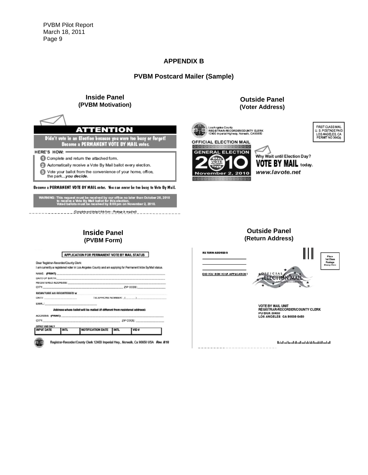### **APPENDIX B**

### **PVBM Postcard Mailer (Sample)**

### **Inside Panel (PVBM Motivation)**



WARNING: This request must be received by our office no later than October 26, 2010<br>to receive a Vote By Mail ballot for this election.<br>Voted ballots must be received by 8:00 pm on November 2, 2010. m on November 2, 2010.

\_\_\_\_\_\_\_\_\_\_\_\_Gampleto and detach this form - Postage is regulad) \_\_\_\_\_\_\_\_\_\_\_\_\_

### **Outside Panel (Voter Address)**







Why Wait until Election Day? VOTE BY MAIL today. www.lavote.net

### **Outside Panel (Return Address)**



th full ad for all dh all and ab bli thi ab fill and all

# **Inside Panel (PVBM Form)**

#### **APPLICATION FOR PERMANENT VOTE BY MAIL STATUS**

| Dear Registrar-Recorden/County Clerk: |             |                                                                                                                                                                                                                                      |             |                       |  |
|---------------------------------------|-------------|--------------------------------------------------------------------------------------------------------------------------------------------------------------------------------------------------------------------------------------|-------------|-----------------------|--|
|                                       |             | I am currently a registered voter in Los Angeles County and am applying for Permanent Vote By Mail status.                                                                                                                           |             |                       |  |
|                                       |             | NAME: (PRINT)                                                                                                                                                                                                                        |             |                       |  |
|                                       |             | DATE OF BIRTH: <b>And All And All And All And All And All And All And All And All And All And All And All And All And All And All And All And All And All And All And All And All And All And All And All And All And All And Al</b> |             |                       |  |
|                                       |             |                                                                                                                                                                                                                                      |             |                       |  |
|                                       |             |                                                                                                                                                                                                                                      |             |                       |  |
| SIGNATURE AS REGISTERED V.            |             |                                                                                                                                                                                                                                      |             |                       |  |
| $U(1)$ $E$                            |             |                                                                                                                                                                                                                                      |             | TELEPHONE NUMBER: T 1 |  |
|                                       |             |                                                                                                                                                                                                                                      |             |                       |  |
|                                       |             |                                                                                                                                                                                                                                      |             |                       |  |
|                                       |             | Address where ballet will be mailed (if different from registered address)                                                                                                                                                           |             |                       |  |
|                                       |             | ADORESS: (PRINT) <b>ADORESS:</b> (PRINT)                                                                                                                                                                                             |             |                       |  |
|                                       |             |                                                                                                                                                                                                                                      |             | ZP CODE:              |  |
| <b>OFFICE USE ONLY</b>                |             |                                                                                                                                                                                                                                      |             |                       |  |
| <b>INPUT DATE</b>                     | <b>INTL</b> | <b>NOTIFICATION DATE</b>                                                                                                                                                                                                             | <b>INTL</b> | VID #                 |  |
|                                       |             |                                                                                                                                                                                                                                      |             |                       |  |
|                                       |             |                                                                                                                                                                                                                                      |             |                       |  |

Registrar-Recorder/County Clerk 12400 Imperial Hwy., Norwalk, Ca 90650 USA Rev. & 10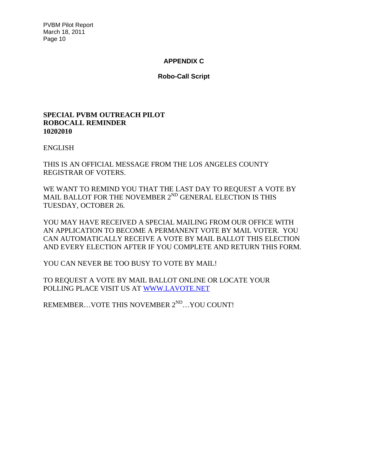### **APPENDIX C**

**Robo-Call Script** 

### **SPECIAL PVBM OUTREACH PILOT ROBOCALL REMINDER 10202010**

ENGLISH

THIS IS AN OFFICIAL MESSAGE FROM THE LOS ANGELES COUNTY REGISTRAR OF VOTERS.

WE WANT TO REMIND YOU THAT THE LAST DAY TO REQUEST A VOTE BY MAIL BALLOT FOR THE NOVEMBER 2<sup>ND</sup> GENERAL ELECTION IS THIS TUESDAY, OCTOBER 26.

YOU MAY HAVE RECEIVED A SPECIAL MAILING FROM OUR OFFICE WITH AN APPLICATION TO BECOME A PERMANENT VOTE BY MAIL VOTER. YOU CAN AUTOMATICALLY RECEIVE A VOTE BY MAIL BALLOT THIS ELECTION AND EVERY ELECTION AFTER IF YOU COMPLETE AND RETURN THIS FORM.

YOU CAN NEVER BE TOO BUSY TO VOTE BY MAIL!

TO REQUEST A VOTE BY MAIL BALLOT ONLINE OR LOCATE YOUR POLLING PLACE VISIT US AT WWW.LAVOTE.NET

REMEMBER... VOTE THIS NOVEMBER  $2^{ND}$ ... YOU COUNT!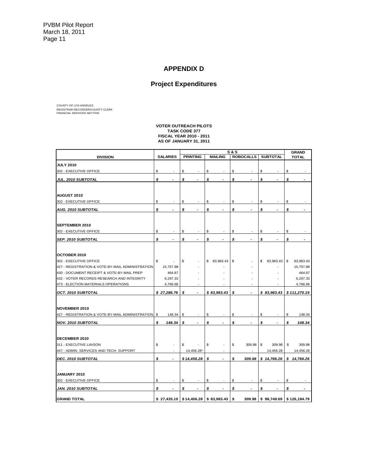### **APPENDIX D**

# **Project Expenditures**

COUNTY OF LOS ANGELES REGISTRAR-RECORDER/COUNTY CLERK FINANCIAL SERVICES SECTION

#### **FISCAL YEAR 2010 - 2011 VOTER OUTREACH PILOTS AS OF JANUARY 31, 2011 TASK CODE 377**

|                                                       |    |                          | <b>S&amp;S</b> |                                              |    |                          |    | <b>GRAND</b>     |    |                 |    |                |
|-------------------------------------------------------|----|--------------------------|----------------|----------------------------------------------|----|--------------------------|----|------------------|----|-----------------|----|----------------|
| <b>DIVISION</b>                                       |    | <b>SALARIES</b>          |                | <b>PRINTING</b>                              |    | <b>MAILING</b>           |    | <b>ROBOCALLS</b> |    | <b>SUBTOTAL</b> |    | <b>TOTAL</b>   |
| <b>JULY 2010</b>                                      |    |                          |                |                                              |    |                          |    |                  |    |                 |    |                |
| 302 - EXECUTIVE OFFICE                                | \$ | ä,                       | \$             |                                              | \$ | ٠                        | \$ | ٠                | \$ | ٠               | \$ |                |
| JUL. 2010 SUBTOTAL                                    | \$ | $\tilde{\phantom{a}}$    | \$             |                                              | \$ |                          | \$ |                  | \$ |                 | \$ |                |
|                                                       |    |                          |                |                                              |    |                          |    |                  |    |                 |    |                |
|                                                       |    |                          |                |                                              |    |                          |    |                  |    |                 |    |                |
| <b>AUGUST 2010</b>                                    |    |                          |                |                                              |    |                          |    |                  |    |                 |    |                |
| 302 - EXECUTIVE OFFICE                                | \$ |                          | \$             |                                              | \$ |                          | \$ |                  | \$ |                 | \$ |                |
| <b>AUG. 2010 SUBTOTAL</b>                             | \$ |                          | \$             |                                              | \$ |                          | \$ |                  | \$ |                 | \$ |                |
| <b>SEPTEMBER 2010</b>                                 |    |                          |                |                                              |    |                          |    |                  |    |                 |    |                |
| 302 - EXECUTIVE OFFICE                                | \$ |                          | \$             |                                              | \$ |                          | \$ |                  | \$ |                 | \$ |                |
|                                                       |    |                          |                |                                              |    |                          |    |                  |    |                 |    |                |
| <b>SEP. 2010 SUBTOTAL</b>                             | s  | ÷,                       | \$             | ÷,                                           | \$ |                          | \$ |                  | \$ | $\overline{a}$  | \$ | $\overline{a}$ |
|                                                       |    |                          |                |                                              |    |                          |    |                  |    |                 |    |                |
| OCTOBER 2010                                          |    |                          |                |                                              |    |                          |    |                  |    |                 |    |                |
| 302 - EXECUTIVE OFFICE                                | \$ |                          | \$             |                                              | S  | 83,983.43                | S  |                  | \$ | 83,983.43       | \$ | 83,983.43      |
| 427 - REGISTRATION & VOTE-BY-MAIL ADMINISTRATION      |    | 15,757.88                |                |                                              |    |                          |    |                  |    |                 |    | 15,757.88      |
| 430 - DOCUMENT RECEIPT & VOTE-BY-MAIL PREP            |    | 464.87                   |                |                                              |    |                          |    |                  |    |                 |    | 464.87         |
| 432 - VOTER RECORDS RESEARCH AND INTEGRITY            |    | 6,297.33                 |                |                                              |    |                          |    |                  |    |                 |    | 6,297.33       |
| 473 - ELECTION MATERIALS OPERATIONS                   |    | 4,766.68                 |                |                                              |    |                          |    |                  |    |                 |    | 4,766.68       |
| OCT. 2010 SUBTOTAL                                    |    | \$27,286.76              | \$             |                                              |    | \$83.983.43              | s  |                  |    | \$83,983.43     |    | \$111,270.19   |
|                                                       |    |                          |                |                                              |    |                          |    |                  |    |                 |    |                |
|                                                       |    |                          |                |                                              |    |                          |    |                  |    |                 |    |                |
| <b>NOVEMBER 2010</b>                                  |    |                          |                |                                              |    |                          |    |                  |    |                 |    |                |
| 427 - REGISTRATION & VOTE-BY-MAIL ADMINISTRATION   \$ |    | 148.34                   | \$             |                                              | \$ |                          | \$ |                  | \$ |                 | \$ | 148.34         |
| <b>NOV. 2010 SUBTOTAL</b>                             | \$ | 148.34                   | \$             |                                              | \$ |                          | \$ |                  | \$ |                 | \$ | 148.34         |
|                                                       |    |                          |                |                                              |    |                          |    |                  |    |                 |    |                |
|                                                       |    |                          |                |                                              |    |                          |    |                  |    |                 |    |                |
| DECEMBER 2010                                         |    |                          |                |                                              |    |                          |    |                  |    |                 |    |                |
| 311 - EXECUTIVE LIAISON                               | \$ |                          | S              |                                              | \$ |                          | \$ | 309.98           | \$ | 309.98          | S  | 309.98         |
| 447 - ADMIN. SERVICES AND TECH. SUPPORT               |    |                          |                | 14,456.28*                                   |    |                          |    | ٠                |    | 14,456.28       |    | 14,456.28      |
| DEC. 2010 SUBTOTAL                                    | \$ | $\overline{\phantom{a}}$ |                | \$14,456.28                                  | \$ | $\overline{\phantom{a}}$ | \$ | 309.98           |    | \$14,766.26     |    | \$14,766.26    |
|                                                       |    |                          |                |                                              |    |                          |    |                  |    |                 |    |                |
| JANUARY 2010                                          |    |                          |                |                                              |    |                          |    |                  |    |                 |    |                |
| 302 - EXECUTIVE OFFICE                                | \$ |                          | \$             |                                              | \$ |                          | \$ |                  | \$ |                 | \$ |                |
| <b>JAN. 2010 SUBTOTAL</b>                             | \$ |                          | \$             |                                              | \$ |                          | \$ |                  | \$ |                 | \$ |                |
|                                                       |    |                          |                |                                              |    |                          |    |                  |    |                 |    |                |
| <b>GRAND TOTAL</b>                                    |    |                          |                | $$27,435.10 \mid $14,456.28 \mid $83,983.43$ |    |                          | \$ | 309.98           |    | \$98,749.69     |    | \$126,184.79   |